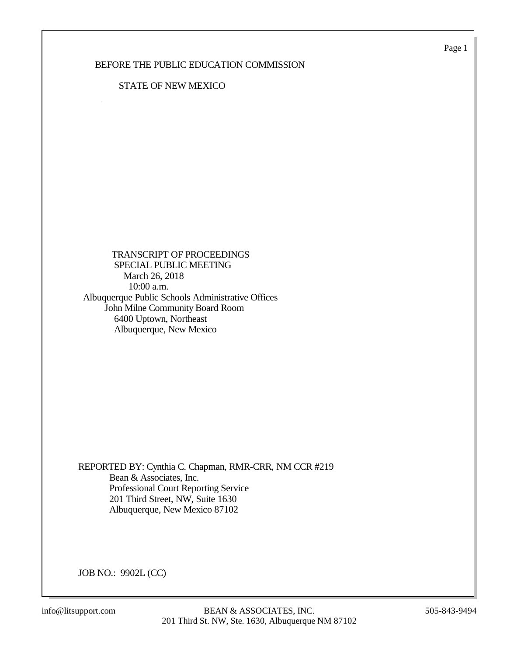Page 1

#### BEFORE THE PUBLIC EDUCATION COMMISSION

#### STATE OF NEW MEXICO

 TRANSCRIPT OF PROCEEDINGS SPECIAL PUBLIC MEETING March 26, 2018 10:00 a.m. Albuquerque Public Schools Administrative Offices John Milne Community Board Room 6400 Uptown, Northeast Albuquerque, New Mexico

REPORTED BY: Cynthia C. Chapman, RMR-CRR, NM CCR #219 Bean & Associates, Inc. Professional Court Reporting Service 201 Third Street, NW, Suite 1630 Albuquerque, New Mexico 87102

JOB NO.: 9902L (CC)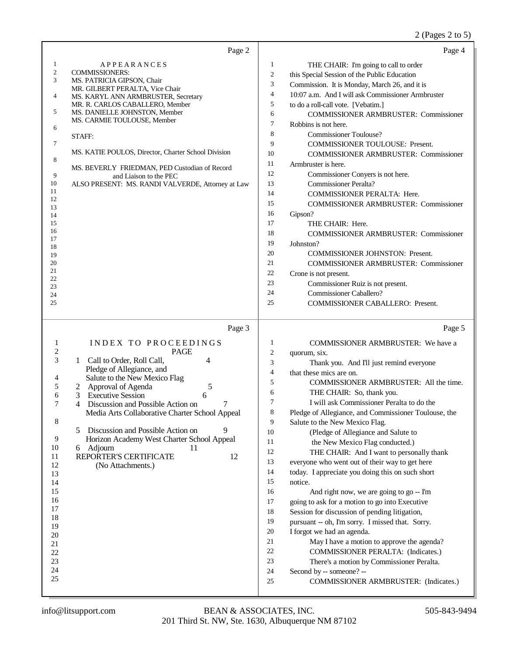# 2 (Pages 2 to 5)

|                  | Page 2                                                        |                  | Page 4                                                                 |
|------------------|---------------------------------------------------------------|------------------|------------------------------------------------------------------------|
| 1                | <b>APPEARANCES</b>                                            | 1                | THE CHAIR: I'm going to call to order                                  |
| $\overline{c}$   | <b>COMMISSIONERS:</b>                                         | $\boldsymbol{2}$ | this Special Session of the Public Education                           |
| 3                | MS. PATRICIA GIPSON, Chair<br>MR. GILBERT PERALTA, Vice Chair | 3                | Commission. It is Monday, March 26, and it is                          |
| 4                | MS. KARYL ANN ARMBRUSTER, Secretary                           | $\overline{4}$   | 10:07 a.m. And I will ask Commissioner Armbruster                      |
|                  | MR. R. CARLOS CABALLERO, Member                               | 5                | to do a roll-call vote. [Vebatim.]                                     |
| 5                | MS. DANIELLE JOHNSTON, Member                                 | 6                | <b>COMMISSIONER ARMBRUSTER: Commissioner</b>                           |
| 6                | MS. CARMIE TOULOUSE, Member                                   | $\tau$           | Robbins is not here.                                                   |
|                  | STAFF:                                                        | 8                | <b>Commissioner Toulouse?</b>                                          |
| 7                | MS. KATIE POULOS, Director, Charter School Division           | 9                | COMMISSIONER TOULOUSE: Present.                                        |
| 8                |                                                               | 10               | <b>COMMISSIONER ARMBRUSTER: Commissioner</b>                           |
|                  | MS. BEVERLY FRIEDMAN, PED Custodian of Record                 | 11<br>12         | Armbruster is here.                                                    |
| 9<br>10          | and Liaison to the PEC                                        | 13               | Commissioner Conyers is not here.<br><b>Commissioner Peralta?</b>      |
| 11               | ALSO PRESENT: MS. RANDI VALVERDE, Attorney at Law             | 14               | COMMISSIONER PERALTA: Here.                                            |
| 12               |                                                               | 15               | <b>COMMISSIONER ARMBRUSTER: Commissioner</b>                           |
| 13<br>14         |                                                               | 16               | Gipson?                                                                |
| 15               |                                                               | 17               | THE CHAIR: Here.                                                       |
| 16               |                                                               | 18               | <b>COMMISSIONER ARMBRUSTER: Commissioner</b>                           |
| 17<br>18         |                                                               | 19               | Johnston?                                                              |
| 19               |                                                               | 20               | COMMISSIONER JOHNSTON: Present.                                        |
| 20               |                                                               | 21               | <b>COMMISSIONER ARMBRUSTER: Commissioner</b>                           |
| 21<br>22         |                                                               | 22               | Crone is not present.                                                  |
| 23               |                                                               | 23               | Commissioner Ruiz is not present.                                      |
| 24               |                                                               | 24               | Commissioner Caballero?                                                |
| 25               |                                                               | 25               | COMMISSIONER CABALLERO: Present.                                       |
|                  | Page 3                                                        |                  | Page 5                                                                 |
| 1                | INDEX TO PROCEEDINGS                                          | 1                | COMMISSIONER ARMBRUSTER: We have a                                     |
| $\boldsymbol{2}$ | <b>PAGE</b>                                                   | $\overline{2}$   | quorum, six.                                                           |
| 3                | Call to Order, Roll Call,<br>4<br>1                           | 3                | Thank you. And I'll just remind everyone                               |
| 4                | Pledge of Allegiance, and<br>Salute to the New Mexico Flag    | $\overline{4}$   | that these mics are on.                                                |
| 5                | Approval of Agenda<br>5<br>2                                  | 5                | COMMISSIONER ARMBRUSTER: All the time.                                 |
| 6                | 3<br><b>Executive Session</b><br>6                            | 6                | THE CHAIR: So, thank you.                                              |
| 7                | Discussion and Possible Action on<br>7<br>4                   | $\tau$           | I will ask Commissioner Peralta to do the                              |
|                  | Media Arts Collaborative Charter School Appeal                | $\,$ 8 $\,$      | Pledge of Allegiance, and Commissioner Toulouse, the                   |
| 8                | Discussion and Possible Action on<br>9<br>5.                  | 9<br>10          | Salute to the New Mexico Flag.                                         |
| 9                | Horizon Academy West Charter School Appeal                    | 11               | (Pledge of Allegiance and Salute to<br>the New Mexico Flag conducted.) |
| $10\,$           | 6 Adjourn<br>11                                               | 12               | THE CHAIR: And I want to personally thank                              |
| 11               | REPORTER'S CERTIFICATE<br>12                                  | 13               | everyone who went out of their way to get here                         |
| 12<br>13         | (No Attachments.)                                             | 14               | today. I appreciate you doing this on such short                       |
| 14               |                                                               | 15               | notice.                                                                |
| 15               |                                                               | 16               | And right now, we are going to go -- I'm                               |
| 16               |                                                               | $17\,$           | going to ask for a motion to go into Executive                         |
| 17               |                                                               | 18               | Session for discussion of pending litigation,                          |
| 18<br>19         |                                                               | 19               | pursuant -- oh, I'm sorry. I missed that. Sorry.                       |
| 20               |                                                               | $20\,$           | I forgot we had an agenda.                                             |
| 21               |                                                               | 21               | May I have a motion to approve the agenda?                             |
| $22\,$           |                                                               | 22               | COMMISSIONER PERALTA: (Indicates.)                                     |
| 23               |                                                               | 23               | There's a motion by Commissioner Peralta.                              |
| 24<br>25         |                                                               | 24               | Second by -- someone? --                                               |
|                  |                                                               | 25               | COMMISSIONER ARMBRUSTER: (Indicates.)                                  |
|                  |                                                               |                  |                                                                        |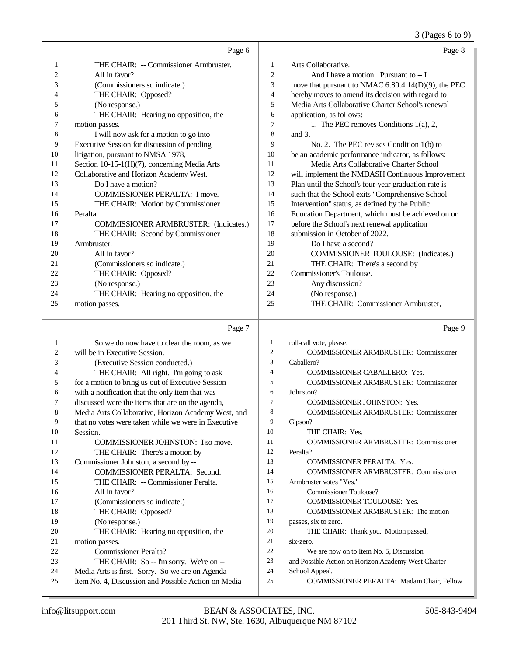3 (Pages 6 to 9)

|                | Page 6                                       |                | Page 8                                               |
|----------------|----------------------------------------------|----------------|------------------------------------------------------|
| 1              | THE CHAIR: -- Commissioner Armbruster.       | 1              | Arts Collaborative.                                  |
| $\overline{2}$ | All in favor?                                | 2              | And I have a motion. Pursuant to -- I                |
| 3              | (Commissioners so indicate.)                 | 3              | move that pursuant to NMAC 6.80.4.14(D)(9), the PEC  |
| 4              | THE CHAIR: Opposed?                          | 4              | hereby moves to amend its decision with regard to    |
| 5              | (No response.)                               | 5              | Media Arts Collaborative Charter School's renewal    |
| 6              | THE CHAIR: Hearing no opposition, the        | 6              | application, as follows:                             |
| 7              | motion passes.                               | $\overline{7}$ | 1. The PEC removes Conditions $1(a)$ , 2,            |
| 8              | I will now ask for a motion to go into       | 8              | and $3$ .                                            |
| 9              | Executive Session for discussion of pending  | 9              | No. 2. The PEC revises Condition $1(b)$ to           |
| 10             | litigation, pursuant to NMSA 1978,           | 10             | be an academic performance indicator, as follows:    |
| 11             | Section 10-15-1(H)(7), concerning Media Arts | 11             | Media Arts Collaborative Charter School              |
| 12             | Collaborative and Horizon Academy West.      | 12             | will implement the NMDASH Continuous Improvement     |
| 13             | Do I have a motion?                          | 13             | Plan until the School's four-year graduation rate is |
| 14             | COMMISSIONER PERALTA: I move.                | 14             | such that the School exits "Comprehensive School     |
| 15             | THE CHAIR: Motion by Commissioner            | 15             | Intervention" status, as defined by the Public       |
| 16             | Peralta.                                     | 16             | Education Department, which must be achieved on or   |
| 17             | COMMISSIONER ARMBRUSTER: (Indicates.)        | 17             | before the School's next renewal application         |
| 18             | THE CHAIR: Second by Commissioner            | 18             | submission in October of 2022.                       |
| 19             | Armbruster.                                  | 19             | Do I have a second?                                  |
| 20             | All in favor?                                | 20             | COMMISSIONER TOULOUSE: (Indicates.)                  |
| 21             | (Commissioners so indicate.)                 | 21             | THE CHAIR: There's a second by                       |
| 22             | THE CHAIR: Opposed?                          | 22             | Commissioner's Toulouse.                             |
| 23             | (No response.)                               | 23             | Any discussion?                                      |
| 24             | THE CHAIR: Hearing no opposition, the        | 24             | (No response.)                                       |
| 25             | motion passes.                               | 25             | THE CHAIR: Commissioner Armbruster,                  |
|                |                                              |                |                                                      |

# Page 7

|    | Page 7                                              |                | Page 9                                              |
|----|-----------------------------------------------------|----------------|-----------------------------------------------------|
| 1  | So we do now have to clear the room, as we          | 1              | roll-call vote, please.                             |
| 2  | will be in Executive Session.                       | $\overline{c}$ | <b>COMMISSIONER ARMBRUSTER: Commissioner</b>        |
| 3  | (Executive Session conducted.)                      | 3              | Caballero?                                          |
| 4  | THE CHAIR: All right. I'm going to ask              | $\overline{4}$ | <b>COMMISSIONER CABALLERO: Yes.</b>                 |
| 5  | for a motion to bring us out of Executive Session   | 5              | <b>COMMISSIONER ARMBRUSTER: Commissioner</b>        |
| 6  | with a notification that the only item that was     | 6              | Johnston?                                           |
| 7  | discussed were the items that are on the agenda,    | 7              | <b>COMMISSIONER JOHNSTON: Yes.</b>                  |
| 8  | Media Arts Collaborative, Horizon Academy West, and | 8              | <b>COMMISSIONER ARMBRUSTER: Commissioner</b>        |
| 9  | that no votes were taken while we were in Executive | 9              | Gipson?                                             |
| 10 | Session.                                            | 10             | THE CHAIR: Yes.                                     |
| 11 | COMMISSIONER JOHNSTON: I so move.                   | 11             | <b>COMMISSIONER ARMBRUSTER: Commissioner</b>        |
| 12 | THE CHAIR: There's a motion by                      | 12             | Peralta?                                            |
| 13 | Commissioner Johnston, a second by --               | 13             | <b>COMMISSIONER PERALTA: Yes.</b>                   |
| 14 | COMMISSIONER PERALTA: Second.                       | 14             | <b>COMMISSIONER ARMBRUSTER: Commissioner</b>        |
| 15 | THE CHAIR: -- Commissioner Peralta.                 | 15             | Armbruster votes "Yes."                             |
| 16 | All in favor?                                       | 16             | Commissioner Toulouse?                              |
| 17 | (Commissioners so indicate.)                        | 17             | <b>COMMISSIONER TOULOUSE: Yes.</b>                  |
| 18 | THE CHAIR: Opposed?                                 | 18             | <b>COMMISSIONER ARMBRUSTER: The motion</b>          |
| 19 | (No response.)                                      | 19             | passes, six to zero.                                |
| 20 | THE CHAIR: Hearing no opposition, the               | 20             | THE CHAIR: Thank you. Motion passed,                |
| 21 | motion passes.                                      | 21             | six-zero.                                           |
| 22 | Commissioner Peralta?                               | 22             | We are now on to Item No. 5, Discussion             |
| 23 | THE CHAIR: So -- I'm sorry. We're on --             | 23             | and Possible Action on Horizon Academy West Charter |
| 24 | Media Arts is first. Sorry. So we are on Agenda     | 24             | School Appeal.                                      |
| 25 | Item No. 4, Discussion and Possible Action on Media | 25             | <b>COMMISSIONER PERALTA: Madam Chair, Fellow</b>    |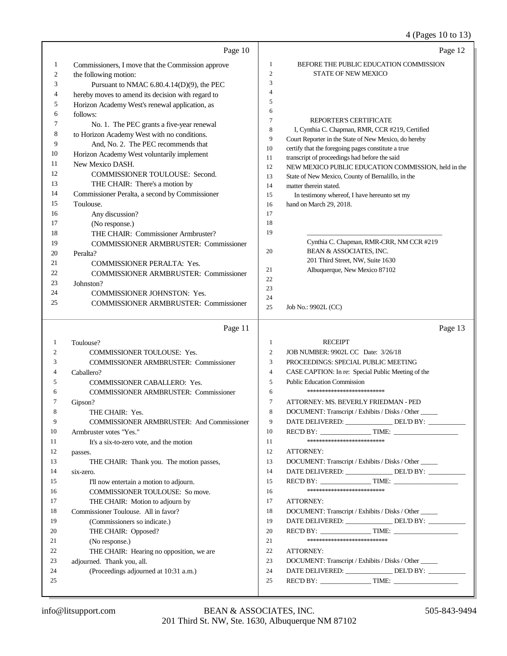# 4 (Pages 10 to 13)

|    | Page 10                                                    |                  | Page 12                                                                                                  |
|----|------------------------------------------------------------|------------------|----------------------------------------------------------------------------------------------------------|
| 1  | Commissioners, I move that the Commission approve          | 1                | BEFORE THE PUBLIC EDUCATION COMMISSION                                                                   |
| 2  | the following motion:                                      | $\mathbf{2}$     | STATE OF NEW MEXICO                                                                                      |
| 3  | Pursuant to NMAC 6.80.4.14(D)(9), the PEC                  | 3                |                                                                                                          |
| 4  | hereby moves to amend its decision with regard to          | 4                |                                                                                                          |
| 5  | Horizon Academy West's renewal application, as             | 5                |                                                                                                          |
| 6  | follows:                                                   | 6                |                                                                                                          |
| 7  | No. 1. The PEC grants a five-year renewal                  | $\tau$           | REPORTER'S CERTIFICATE                                                                                   |
| 8  | to Horizon Academy West with no conditions.                | 8                | I, Cynthia C. Chapman, RMR, CCR #219, Certified                                                          |
| 9  | And, No. 2. The PEC recommends that                        | 9                | Court Reporter in the State of New Mexico, do hereby                                                     |
| 10 | Horizon Academy West voluntarily implement                 | 10               | certify that the foregoing pages constitute a true                                                       |
| 11 | New Mexico DASH.                                           | 11<br>12         | transcript of proceedings had before the said                                                            |
| 12 | COMMISSIONER TOULOUSE: Second.                             | 13               | NEW MEXICO PUBLIC EDUCATION COMMISSION, held in the<br>State of New Mexico, County of Bernalillo, in the |
| 13 | THE CHAIR: There's a motion by                             | 14               | matter therein stated.                                                                                   |
| 14 | Commissioner Peralta, a second by Commissioner             | 15               | In testimony whereof, I have hereunto set my                                                             |
| 15 | Toulouse.                                                  | 16               | hand on March 29, 2018.                                                                                  |
| 16 | Any discussion?                                            | 17               |                                                                                                          |
| 17 | (No response.)                                             | 18               |                                                                                                          |
| 18 | THE CHAIR: Commissioner Armbruster?                        | 19               |                                                                                                          |
| 19 | <b>COMMISSIONER ARMBRUSTER: Commissioner</b>               |                  | Cynthia C. Chapman, RMR-CRR, NM CCR #219                                                                 |
| 20 | Peralta?                                                   | 20               | BEAN & ASSOCIATES, INC.                                                                                  |
| 21 | COMMISSIONER PERALTA: Yes.                                 |                  | 201 Third Street, NW, Suite 1630                                                                         |
| 22 | <b>COMMISSIONER ARMBRUSTER: Commissioner</b>               | 21               | Albuquerque, New Mexico 87102                                                                            |
| 23 | Johnston?                                                  | 22               |                                                                                                          |
| 24 | COMMISSIONER JOHNSTON: Yes.                                | 23<br>24         |                                                                                                          |
| 25 | <b>COMMISSIONER ARMBRUSTER: Commissioner</b>               | 25               | Job No.: 9902L (CC)                                                                                      |
|    |                                                            |                  |                                                                                                          |
|    | Page 11                                                    |                  | Page 13                                                                                                  |
| 1  | Toulouse?                                                  | $\mathbf{1}$     | <b>RECEIPT</b>                                                                                           |
| 2  |                                                            |                  |                                                                                                          |
|    |                                                            | $\boldsymbol{2}$ |                                                                                                          |
| 3  | <b>COMMISSIONER TOULOUSE: Yes.</b>                         | 3                | JOB NUMBER: 9902L CC Date: 3/26/18<br>PROCEEDINGS: SPECIAL PUBLIC MEETING                                |
| 4  | <b>COMMISSIONER ARMBRUSTER: Commissioner</b><br>Caballero? | $\overline{4}$   | CASE CAPTION: In re: Special Public Meeting of the                                                       |
| 5  | COMMISSIONER CABALLERO: Yes.                               | $\sqrt{5}$       | <b>Public Education Commission</b>                                                                       |
| 6  |                                                            | 6                | **************************                                                                               |
| 7  | <b>COMMISSIONER ARMBRUSTER: Commissioner</b>               | 7                | ATTORNEY: MS. BEVERLY FRIEDMAN - PED                                                                     |
| 8  | Gipson?<br>THE CHAIR: Yes.                                 | 8                | DOCUMENT: Transcript / Exhibits / Disks / Other                                                          |
| 9  | <b>COMMISSIONER ARMBRUSTER: And Commissioner</b>           | 9                | DATE DELIVERED: ______________DEL'D BY: _________                                                        |
| 10 | Armbruster votes "Yes."                                    | 10               | REC'D BY: TIME:                                                                                          |
| 11 | It's a six-to-zero vote, and the motion                    | 11               | **************************                                                                               |
| 12 | passes.                                                    | 12               | ATTORNEY:                                                                                                |
| 13 | THE CHAIR: Thank you. The motion passes,                   | 13               | DOCUMENT: Transcript / Exhibits / Disks / Other                                                          |
| 14 | six-zero.                                                  | 14               | DATE DELIVERED: _______________ DEL'D BY: _________                                                      |
| 15 | I'll now entertain a motion to adjourn.                    | 15               |                                                                                                          |
| 16 | COMMISSIONER TOULOUSE: So move.                            | 16               | **************************                                                                               |
| 17 | THE CHAIR: Motion to adjourn by                            | 17               | ATTORNEY:                                                                                                |
| 18 | Commissioner Toulouse. All in favor?                       | 18               | DOCUMENT: Transcript / Exhibits / Disks / Other                                                          |
| 19 | (Commissioners so indicate.)                               | 19               | DATE DELIVERED: _______________ DEL'D BY: _________                                                      |
| 20 | THE CHAIR: Opposed?                                        | 20               |                                                                                                          |
| 21 | (No response.)                                             | 21               | ***************************                                                                              |
| 22 | THE CHAIR: Hearing no opposition, we are                   | 22               | ATTORNEY:                                                                                                |
| 23 | adjourned. Thank you, all.                                 | 23               | DOCUMENT: Transcript / Exhibits / Disks / Other                                                          |
| 24 | (Proceedings adjourned at 10:31 a.m.)                      | 24               | DATE DELIVERED: _______________ DEL'D BY: ____________                                                   |
| 25 |                                                            | 25               |                                                                                                          |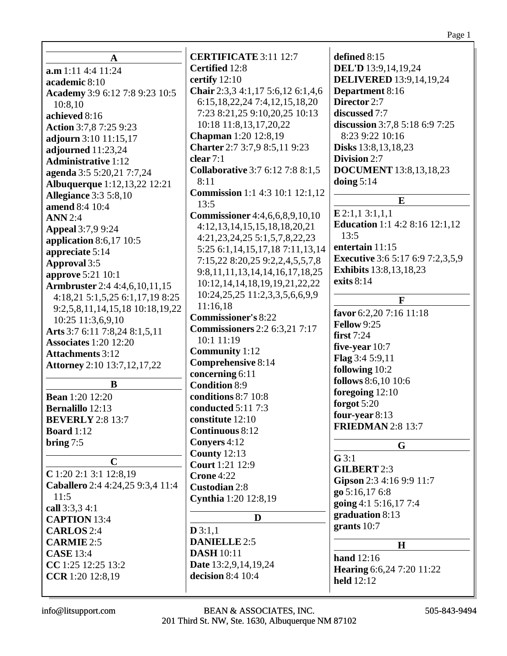| A                                     | <b>CERTIFICATE 3:11 12:7</b>            | defined 8:15                            |
|---------------------------------------|-----------------------------------------|-----------------------------------------|
| a.m 1:11 4:4 11:24                    | Certified 12:8                          | <b>DEL'D</b> 13:9,14,19,24              |
| academic 8:10                         | certify 12:10                           | <b>DELIVERED</b> 13:9,14,19,24          |
| Academy 3:9 6:12 7:8 9:23 10:5        | Chair 2:3,3 4:1,17 5:6,12 6:1,4,6       | Department 8:16                         |
| 10:8,10                               | 6:15, 18, 22, 24 7:4, 12, 15, 18, 20    | Director 2:7                            |
| achieved 8:16                         | 7:23 8:21,25 9:10,20,25 10:13           | discussed 7:7                           |
| Action 3:7,8 7:25 9:23                | 10:18 11:8,13,17,20,22                  | discussion 3:7,8 5:18 6:9 7:25          |
| adjourn 3:10 11:15,17                 | <b>Chapman</b> 1:20 12:8,19             | 8:23 9:22 10:16                         |
| adjourned 11:23,24                    | Charter 2:7 3:7,9 8:5,11 9:23           | <b>Disks</b> 13:8, 13, 18, 23           |
| <b>Administrative 1:12</b>            | clear 7:1                               | Division 2:7                            |
| agenda 3:5 5:20,21 7:7,24             | <b>Collaborative 3:7 6:12 7:8 8:1,5</b> | <b>DOCUMENT</b> 13:8,13,18,23           |
| <b>Albuquerque</b> 1:12,13,22 12:21   | 8:11                                    | doing $5:14$                            |
| <b>Allegiance 3:3 5:8,10</b>          | <b>Commission</b> 1:1 4:3 10:1 12:1,12  |                                         |
| amend 8:4 10:4                        | 13:5                                    | E                                       |
| <b>ANN</b> 2:4                        | <b>Commissioner</b> 4:4,6,6,8,9,10,10   | E 2:1,1 3:1,1,1                         |
| <b>Appeal</b> 3:7,9 9:24              | 4:12, 13, 14, 15, 15, 18, 18, 20, 21    | <b>Education</b> 1:1 4:2 8:16 12:1,12   |
| application $8:6,17$ 10:5             | 4:21, 23, 24, 25 5:1, 5, 7, 8, 22, 23   | 13:5                                    |
| appreciate 5:14                       | 5:25 6:1,14,15,17,18 7:11,13,14         | entertain 11:15                         |
|                                       | 7:15,22 8:20,25 9:2,2,4,5,5,7,8         | <b>Executive</b> 3:6 5:17 6:9 7:2,3,5,9 |
| Approval 3:5                          | 9:8, 11, 11, 13, 14, 14, 16, 17, 18, 25 | <b>Exhibits</b> 13:8, 13, 18, 23        |
| approve 5:21 10:1                     | 10:12, 14, 14, 18, 19, 19, 21, 22, 22   | exits 8:14                              |
| <b>Armbruster</b> 2:4 4:4,6,10,11,15  | 10:24, 25, 25 11:2, 3, 3, 5, 6, 6, 9, 9 |                                         |
| 4:18,21 5:1,5,25 6:1,17,19 8:25       | 11:16,18                                | $\mathbf{F}$                            |
| 9:2,5,8,11,14,15,18 10:18,19,22       | <b>Commissioner's 8:22</b>              | favor 6:2,20 7:16 11:18                 |
| 10:25 11:3,6,9,10                     | <b>Commissioners</b> 2:2 6:3,21 7:17    | Fellow 9:25                             |
| Arts 3:7 6:11 7:8,24 8:1,5,11         | 10:1 11:19                              | first $7:24$                            |
| <b>Associates 1:20 12:20</b>          | <b>Community</b> 1:12                   | five-year $10:7$                        |
| <b>Attachments</b> 3:12               | <b>Comprehensive 8:14</b>               | <b>Flag</b> $3:45:9,11$                 |
| <b>Attorney</b> 2:10 13:7, 12, 17, 22 | concerning 6:11                         | following 10:2                          |
| $\bf{B}$                              | <b>Condition 8:9</b>                    | follows 8:6,10 10:6                     |
| <b>Bean</b> 1:20 12:20                | conditions 8:7 10:8                     | foregoing 12:10                         |
|                                       |                                         | forgot 5:20                             |
| <b>Bernalillo</b> 12:13               | conducted 5:11 7:3                      | four-year 8:13                          |
| <b>BEVERLY</b> 2:8 13:7               | constitute 12:10                        | <b>FRIEDMAN 2:8 13:7</b>                |
| <b>Board</b> 1:12                     | Continuous 8:12                         |                                         |
| bring $7:5$                           | Convers 4:12                            | G                                       |
| $\mathbf C$                           | <b>County 12:13</b>                     | $G$ 3:1                                 |
| $C$ 1:20 2:1 3:1 12:8,19              | <b>Court</b> 1:21 12:9                  | <b>GILBERT 2:3</b>                      |
| Caballero 2:4 4:24,25 9:3,4 11:4      | Crone 4:22                              | Gipson 2:3 4:16 9:9 11:7                |
| 11:5                                  | <b>Custodian 2:8</b>                    | go 5:16,17 6:8                          |
|                                       | Cynthia 1:20 12:8,19                    | going 4:1 5:16,17 7:4                   |
| call 3:3,3 4:1<br><b>CAPTION 13:4</b> | D                                       | graduation 8:13                         |
|                                       | D3:1,1                                  | grants $10:7$                           |
| <b>CARLOS</b> 2:4                     | <b>DANIELLE 2:5</b>                     |                                         |
| <b>CARMIE</b> 2:5                     |                                         | $\mathbf H$                             |
| <b>CASE</b> 13:4                      | <b>DASH</b> 10:11                       | hand $12:16$                            |
| CC 1:25 12:25 13:2                    | Date 13:2,9,14,19,24                    | <b>Hearing 6:6,24 7:20 11:22</b>        |
| CCR 1:20 12:8,19                      | decision 8:4 10:4                       | <b>held</b> 12:12                       |
|                                       |                                         |                                         |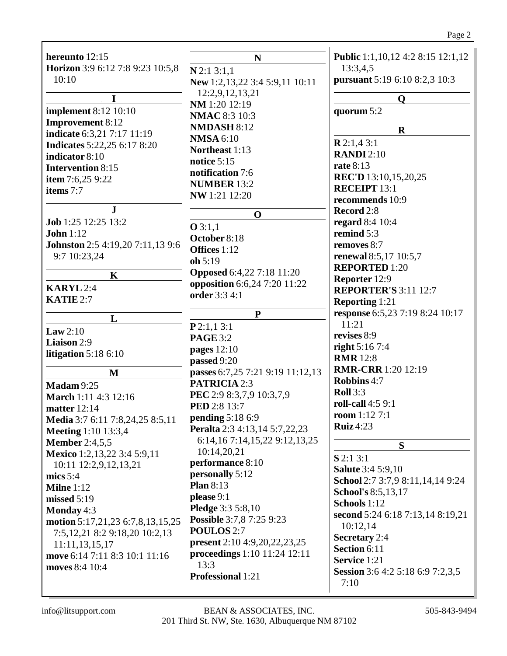# Page 2

| hereunto 12:15<br>Horizon 3:9 6:12 7:8 9:23 10:5,8<br>10:10<br>$\mathbf I$<br><b>implement</b> 8:12 10:10<br><b>Improvement 8:12</b><br>indicate 6:3,21 7:17 11:19<br><b>Indicates</b> 5:22,25 6:17 8:20<br>indicator 8:10<br><b>Intervention 8:15</b><br>item 7:6,25 9:22<br>items 7:7 | N<br>$N$ 2:1 3:1,1<br>New 1:2,13,22 3:4 5:9,11 10:11<br>12:2,9,12,13,21<br>NM 1:20 12:19<br><b>NMAC 8:3 10:3</b><br>NMDASH 8:12<br><b>NMSA 6:10</b><br>Northeast 1:13<br>notice 5:15<br>notification 7:6<br><b>NUMBER 13:2</b><br>NW 1:21 12:20 | Public 1:1,10,12 4:2 8:15 12:1,12<br>13:3,4,5<br>pursuant 5:19 6:10 8:2,3 10:3<br>$\mathbf O$<br>quorum 5:2<br>$\mathbf R$<br>R2:1,43:1<br><b>RANDI</b> 2:10<br><b>rate 8:13</b><br><b>REC'D</b> 13:10,15,20,25<br><b>RECEIPT 13:1</b> |
|-----------------------------------------------------------------------------------------------------------------------------------------------------------------------------------------------------------------------------------------------------------------------------------------|-------------------------------------------------------------------------------------------------------------------------------------------------------------------------------------------------------------------------------------------------|----------------------------------------------------------------------------------------------------------------------------------------------------------------------------------------------------------------------------------------|
| ${\bf J}$                                                                                                                                                                                                                                                                               | $\mathbf 0$                                                                                                                                                                                                                                     | recommends 10:9<br>Record 2:8                                                                                                                                                                                                          |
| Job 1:25 12:25 13:2                                                                                                                                                                                                                                                                     | Q3:1,1                                                                                                                                                                                                                                          | regard 8:4 10:4                                                                                                                                                                                                                        |
| John $1:12$                                                                                                                                                                                                                                                                             | October 8:18                                                                                                                                                                                                                                    | remind 5:3                                                                                                                                                                                                                             |
| Johnston 2:5 4:19,20 7:11,13 9:6                                                                                                                                                                                                                                                        | Offices 1:12                                                                                                                                                                                                                                    | removes 8:7                                                                                                                                                                                                                            |
| 9:7 10:23,24                                                                                                                                                                                                                                                                            | oh 5:19                                                                                                                                                                                                                                         | renewal 8:5,17 10:5,7<br><b>REPORTED 1:20</b>                                                                                                                                                                                          |
| K                                                                                                                                                                                                                                                                                       | <b>Opposed</b> 6:4,22 7:18 11:20                                                                                                                                                                                                                | Reporter 12:9                                                                                                                                                                                                                          |
| <b>KARYL</b> 2:4                                                                                                                                                                                                                                                                        | opposition 6:6,24 7:20 11:22<br>order 3:3 4:1                                                                                                                                                                                                   | <b>REPORTER'S 3:11 12:7</b>                                                                                                                                                                                                            |
| KATIE 2:7                                                                                                                                                                                                                                                                               |                                                                                                                                                                                                                                                 | <b>Reporting 1:21</b>                                                                                                                                                                                                                  |
| L                                                                                                                                                                                                                                                                                       | ${\bf P}$                                                                                                                                                                                                                                       | response 6:5,23 7:19 8:24 10:17                                                                                                                                                                                                        |
| Law $2:10$                                                                                                                                                                                                                                                                              | P2:1,13:1                                                                                                                                                                                                                                       | 11:21                                                                                                                                                                                                                                  |
| Liaison 2:9                                                                                                                                                                                                                                                                             | <b>PAGE 3:2</b>                                                                                                                                                                                                                                 | revises 8:9<br><b>right</b> 5:16 7:4                                                                                                                                                                                                   |
| litigation $5:186:10$                                                                                                                                                                                                                                                                   | pages 12:10                                                                                                                                                                                                                                     | <b>RMR</b> 12:8                                                                                                                                                                                                                        |
| M                                                                                                                                                                                                                                                                                       | passed 9:20<br>passes 6:7,25 7:21 9:19 11:12,13                                                                                                                                                                                                 | <b>RMR-CRR</b> 1:20 12:19                                                                                                                                                                                                              |
| <b>Madam 9:25</b>                                                                                                                                                                                                                                                                       | <b>PATRICIA 2:3</b>                                                                                                                                                                                                                             | Robbins 4:7                                                                                                                                                                                                                            |
| March 1:11 4:3 12:16                                                                                                                                                                                                                                                                    | PEC 2:9 8:3,7,9 10:3,7,9                                                                                                                                                                                                                        | Roll $3:3$                                                                                                                                                                                                                             |
| <b>matter</b> 12:14                                                                                                                                                                                                                                                                     | <b>PED 2:8 13:7</b>                                                                                                                                                                                                                             | roll-call 4:5 9:1                                                                                                                                                                                                                      |
| Media 3:7 6:11 7:8,24,25 8:5,11                                                                                                                                                                                                                                                         | <b>pending 5:18 6:9</b>                                                                                                                                                                                                                         | <b>room</b> $1:127:1$                                                                                                                                                                                                                  |
| <b>Meeting</b> 1:10 13:3,4                                                                                                                                                                                                                                                              | Peralta 2:3 4:13,14 5:7,22,23                                                                                                                                                                                                                   | Ruiz $4:23$                                                                                                                                                                                                                            |
| <b>Member</b> 2:4,5,5                                                                                                                                                                                                                                                                   | 6:14,167:14,15,229:12,13,25                                                                                                                                                                                                                     | S                                                                                                                                                                                                                                      |
| Mexico 1:2,13,22 3:4 5:9,11                                                                                                                                                                                                                                                             | 10:14,20,21<br>performance 8:10                                                                                                                                                                                                                 | $S$ 2:1 3:1                                                                                                                                                                                                                            |
| 10:11 12:2,9,12,13,21                                                                                                                                                                                                                                                                   | personally 5:12                                                                                                                                                                                                                                 | <b>Salute</b> 3:4 5:9,10                                                                                                                                                                                                               |
| mics $5:4$<br><b>Milne</b> 1:12                                                                                                                                                                                                                                                         | Plan $8:13$                                                                                                                                                                                                                                     | School 2:7 3:7,9 8:11,14,14 9:24                                                                                                                                                                                                       |
| missed 5:19                                                                                                                                                                                                                                                                             | please 9:1                                                                                                                                                                                                                                      | School's 8:5,13,17                                                                                                                                                                                                                     |
| Monday $4:3$                                                                                                                                                                                                                                                                            | <b>Pledge</b> 3:3 5:8,10                                                                                                                                                                                                                        | Schools 1:12                                                                                                                                                                                                                           |
| motion 5:17,21,23 6:7,8,13,15,25                                                                                                                                                                                                                                                        | <b>Possible 3:7,8 7:25 9:23</b>                                                                                                                                                                                                                 | second 5:24 6:18 7:13,14 8:19,21<br>10:12,14                                                                                                                                                                                           |
| 7:5, 12, 21 8:2 9:18, 20 10:2, 13                                                                                                                                                                                                                                                       | POULOS 2:7                                                                                                                                                                                                                                      | <b>Secretary</b> 2:4                                                                                                                                                                                                                   |
| 11:11,13,15,17                                                                                                                                                                                                                                                                          | <b>present</b> 2:10 4:9, 20, 22, 23, 25                                                                                                                                                                                                         | Section 6:11                                                                                                                                                                                                                           |
| move 6:14 7:11 8:3 10:1 11:16                                                                                                                                                                                                                                                           | proceedings 1:10 11:24 12:11<br>13:3                                                                                                                                                                                                            | Service 1:21                                                                                                                                                                                                                           |
| moves 8:4 10:4                                                                                                                                                                                                                                                                          | <b>Professional 1:21</b>                                                                                                                                                                                                                        | Session 3:6 4:2 5:18 6:9 7:2,3,5                                                                                                                                                                                                       |
|                                                                                                                                                                                                                                                                                         |                                                                                                                                                                                                                                                 | 7:10                                                                                                                                                                                                                                   |